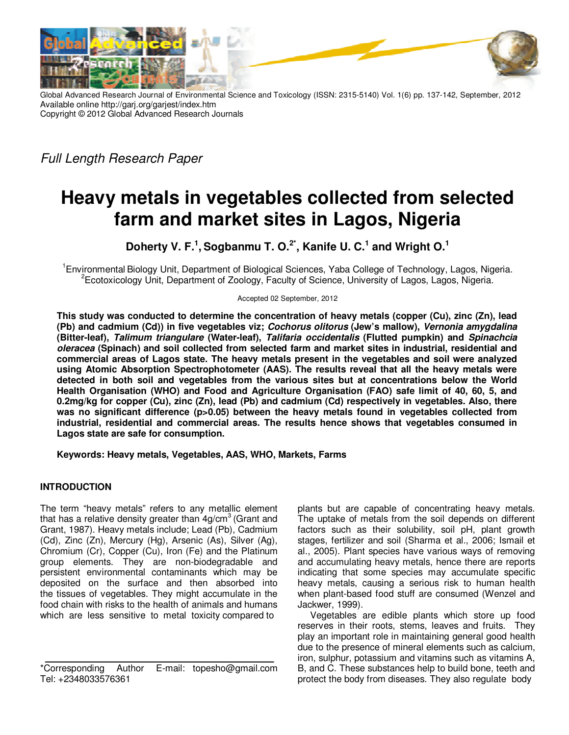

Global Advanced Research Journal of Environmental Science and Toxicology (ISSN: 2315-5140) Vol. 1(6) pp. 137-142, September, 2012 Available online http://garj.org/garjest/index.htm Copyright © 2012 Global Advanced Research Journals

Full Length Research Paper

# **Heavy metals in vegetables collected from selected farm and market sites in Lagos, Nigeria**

**Doherty V. F.<sup>1</sup> , Sogbanmu T. O.2\*, Kanife U. C.<sup>1</sup> and Wright O.<sup>1</sup>**

<sup>1</sup>Environmental Biology Unit, Department of Biological Sciences, Yaba College of Technology, Lagos, Nigeria. <sup>2</sup>Ecotoxicology Unit, Department of Zoology, Faculty of Science, University of Lagos, Lagos, Nigeria.

Accepted 02 September, 2012

**This study was conducted to determine the concentration of heavy metals (copper (Cu), zinc (Zn), lead (Pb) and cadmium (Cd)) in five vegetables viz; Cochorus olitorus (Jew's mallow), Vernonia amygdalina (Bitter-leaf), Talimum triangulare (Water-leaf), Talifaria occidentalis (Flutted pumpkin) and Spinachcia oleracea (Spinach) and soil collected from selected farm and market sites in industrial, residential and commercial areas of Lagos state. The heavy metals present in the vegetables and soil were analyzed using Atomic Absorption Spectrophotometer (AAS). The results reveal that all the heavy metals were detected in both soil and vegetables from the various sites but at concentrations below the World Health Organisation (WHO) and Food and Agriculture Organisation (FAO) safe limit of 40, 60, 5, and 0.2mg/kg for copper (Cu), zinc (Zn), lead (Pb) and cadmium (Cd) respectively in vegetables. Also, there**  was no significant difference (p>0.05) between the heavy metals found in vegetables collected from **industrial, residential and commercial areas. The results hence shows that vegetables consumed in Lagos state are safe for consumption.** 

**Keywords: Heavy metals, Vegetables, AAS, WHO, Markets, Farms** 

## **INTRODUCTION**

The term "heavy metals" refers to any metallic element that has a relative density greater than  $4q/cm<sup>3</sup>$  (Grant and Grant, 1987). Heavy metals include; Lead (Pb), Cadmium (Cd), Zinc (Zn), Mercury (Hg), Arsenic (As), Silver (Ag), Chromium (Cr), Copper (Cu), Iron (Fe) and the Platinum group elements. They are non-biodegradable and persistent environmental contaminants which may be deposited on the surface and then absorbed into the tissues of vegetables. They might accumulate in the food chain with risks to the health of animals and humans which are less sensitive to metal toxicity compared to

plants but are capable of concentrating heavy metals. The uptake of metals from the soil depends on different factors such as their solubility, soil pH, plant growth stages, fertilizer and soil (Sharma et al., 2006; Ismail et al., 2005). Plant species have various ways of removing and accumulating heavy metals, hence there are reports indicating that some species may accumulate specific heavy metals, causing a serious risk to human health when plant-based food stuff are consumed (Wenzel and Jackwer, 1999).

Vegetables are edible plants which store up food reserves in their roots, stems, leaves and fruits. They play an important role in maintaining general good health due to the presence of mineral elements such as calcium, iron, sulphur, potassium and vitamins such as vitamins A, B, and C. These substances help to build bone, teeth and protect the body from diseases. They also regulate body

<sup>\*</sup>Corresponding Author E-mail: topesho@gmail.com Tel: +2348033576361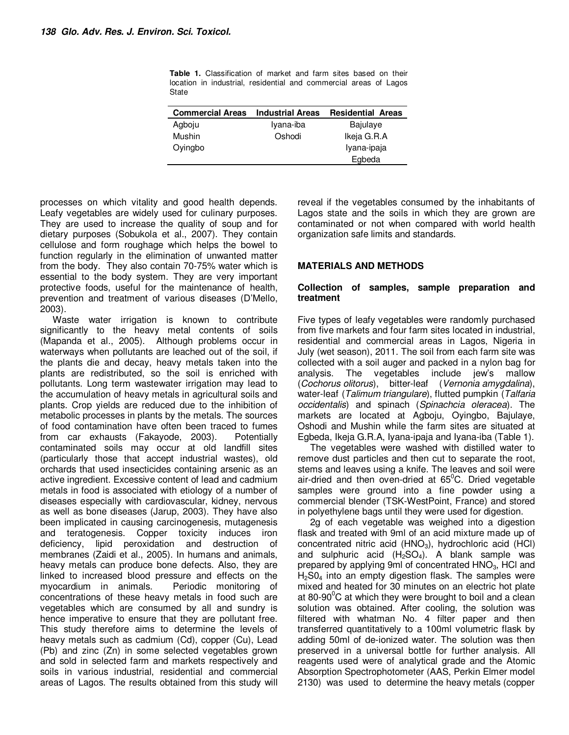| <b>Commercial Areas</b> | <b>Industrial Areas</b> | <b>Residential Areas</b> |  |
|-------------------------|-------------------------|--------------------------|--|
| Agboju                  | Iyana-iba               | Bajulaye                 |  |
| Mushin                  | Oshodi                  | Ikeja G.R.A              |  |
| Oyingbo                 |                         | Iyana-ipaja              |  |
|                         |                         | Egbeda                   |  |

**Table 1.** Classification of market and farm sites based on their location in industrial, residential and commercial areas of Lagos State

processes on which vitality and good health depends. Leafy vegetables are widely used for culinary purposes. They are used to increase the quality of soup and for dietary purposes (Sobukola et al., 2007). They contain cellulose and form roughage which helps the bowel to function regularly in the elimination of unwanted matter from the body. They also contain 70-75% water which is essential to the body system. They are very important protective foods, useful for the maintenance of health, prevention and treatment of various diseases (D'Mello, 2003).

Waste water irrigation is known to contribute significantly to the heavy metal contents of soils (Mapanda et al., 2005). Although problems occur in waterways when pollutants are leached out of the soil, if the plants die and decay, heavy metals taken into the plants are redistributed, so the soil is enriched with pollutants. Long term wastewater irrigation may lead to the accumulation of heavy metals in agricultural soils and plants. Crop yields are reduced due to the inhibition of metabolic processes in plants by the metals. The sources of food contamination have often been traced to fumes from car exhausts (Fakayode, 2003). Potentially contaminated soils may occur at old landfill sites (particularly those that accept industrial wastes), old orchards that used insecticides containing arsenic as an active ingredient. Excessive content of lead and cadmium metals in food is associated with etiology of a number of diseases especially with cardiovascular, kidney, nervous as well as bone diseases (Jarup, 2003). They have also been implicated in causing carcinogenesis, mutagenesis and teratogenesis. Copper toxicity induces iron deficiency, lipid peroxidation and destruction of membranes (Zaidi et al., 2005). In humans and animals, heavy metals can produce bone defects. Also, they are linked to increased blood pressure and effects on the myocardium in animals. Periodic monitoring of myocardium in animals. concentrations of these heavy metals in food such are vegetables which are consumed by all and sundry is hence imperative to ensure that they are pollutant free. This study therefore aims to determine the levels of heavy metals such as cadmium (Cd), copper (Cu), Lead (Pb) and zinc (Zn) in some selected vegetables grown and sold in selected farm and markets respectively and soils in various industrial, residential and commercial areas of Lagos. The results obtained from this study will

reveal if the vegetables consumed by the inhabitants of Lagos state and the soils in which they are grown are contaminated or not when compared with world health organization safe limits and standards.

### **MATERIALS AND METHODS**

#### **Collection of samples, sample preparation and treatment**

Five types of leafy vegetables were randomly purchased from five markets and four farm sites located in industrial, residential and commercial areas in Lagos, Nigeria in July (wet season), 2011. The soil from each farm site was collected with a soil auger and packed in a nylon bag for analysis. The vegetables include jew's mallow (Cochorus olitorus), bitter-leaf (Vernonia amygdalina), water-leaf (Talimum triangulare), flutted pumpkin (Talfaria occidentalis) and spinach (Spinachcia oleracea). The markets are located at Agboju, Oyingbo, Bajulaye, Oshodi and Mushin while the farm sites are situated at Egbeda, Ikeja G.R.A, Iyana-ipaja and Iyana-iba (Table 1).

The vegetables were washed with distilled water to remove dust particles and then cut to separate the root, stems and leaves using a knife. The leaves and soil were air-dried and then oven-dried at  $65^{\circ}$ C. Dried vegetable samples were ground into a fine powder using a commercial blender (TSK-WestPoint, France) and stored in polyethylene bags until they were used for digestion.

2g of each vegetable was weighed into a digestion flask and treated with 9ml of an acid mixture made up of concentrated nitric acid  $(HNO<sub>3</sub>)$ , hydrochloric acid  $(HCl)$ and sulphuric acid  $(H_2SO_4)$ . A blank sample was prepared by applying 9ml of concentrated  $HNO<sub>3</sub>$ , HCl and  $H<sub>2</sub>SO<sub>4</sub>$  into an empty digestion flask. The samples were mixed and heated for 30 minutes on an electric hot plate at 80-90 $\mathrm{°C}$  at which they were brought to boil and a clean solution was obtained. After cooling, the solution was filtered with whatman No. 4 filter paper and then transferred quantitatively to a 100ml volumetric flask by adding 50ml of de-ionized water. The solution was then preserved in a universal bottle for further analysis. All reagents used were of analytical grade and the Atomic Absorption Spectrophotometer (AAS, Perkin Elmer model 2130) was used to determine the heavy metals (copper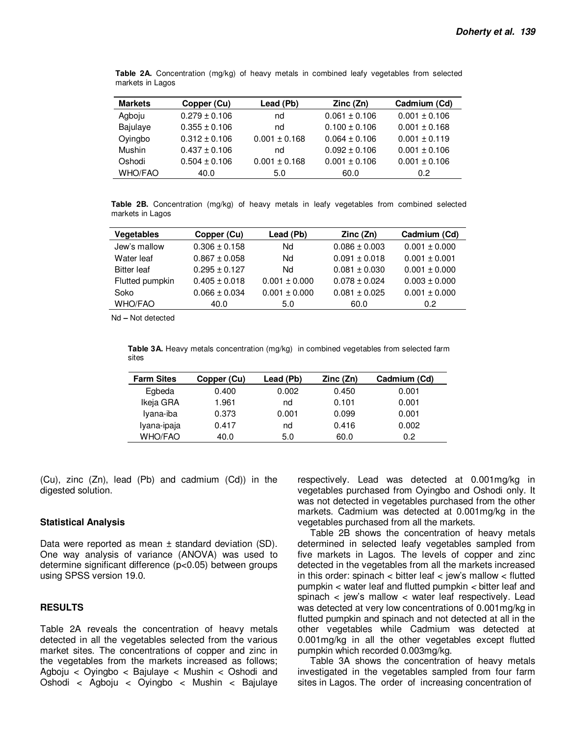| <b>Markets</b> | Copper (Cu)       | Lead (Pb)         | Zinc (Zn)         | Cadmium (Cd)      |
|----------------|-------------------|-------------------|-------------------|-------------------|
| Agboju         | $0.279 \pm 0.106$ | nd                | $0.061 \pm 0.106$ | $0.001 \pm 0.106$ |
| Bajulaye       | $0.355 \pm 0.106$ | nd                | $0.100 \pm 0.106$ | $0.001 \pm 0.168$ |
| Oyingbo        | $0.312 \pm 0.106$ | $0.001 \pm 0.168$ | $0.064 \pm 0.106$ | $0.001 \pm 0.119$ |
| Mushin         | $0.437 \pm 0.106$ | nd                | $0.092 \pm 0.106$ | $0.001 \pm 0.106$ |
| Oshodi         | $0.504 \pm 0.106$ | $0.001 \pm 0.168$ | $0.001 \pm 0.106$ | $0.001 \pm 0.106$ |
| <b>WHO/FAO</b> | 40.0              | 5.0               | 60.0              | 0.2               |

**Table 2A.** Concentration (mg/kg) of heavy metals in combined leafy vegetables from selected markets in Lagos

**Table 2B.** Concentration (mg/kg) of heavy metals in leafy vegetables from combined selected markets in Lagos

| <b>Vegetables</b>  | Copper (Cu)       |                   | Zinc (Zn)         | Cadmium (Cd)      |
|--------------------|-------------------|-------------------|-------------------|-------------------|
| Jew's mallow       | $0.306 \pm 0.158$ | Nd                | $0.086 \pm 0.003$ | $0.001 \pm 0.000$ |
| Water leaf         | $0.867 \pm 0.058$ | Nd                | $0.091 \pm 0.018$ | $0.001 \pm 0.001$ |
| <b>Bitter leaf</b> | $0.295 \pm 0.127$ | Nd                | $0.081 \pm 0.030$ | $0.001 \pm 0.000$ |
| Flutted pumpkin    | $0.405 \pm 0.018$ | $0.001 \pm 0.000$ | $0.078 \pm 0.024$ | $0.003 \pm 0.000$ |
| Soko               | $0.066 \pm 0.034$ | $0.001 \pm 0.000$ | $0.081 \pm 0.025$ | $0.001 \pm 0.000$ |
| <b>WHO/FAO</b>     | 40.0              | 5.0               | 60.0              | 0.2               |

Nd **–** Not detected

**Table 3A.** Heavy metals concentration (mg/kg) in combined vegetables from selected farm sites

| <b>Farm Sites</b> | Copper (Cu) | Lead (Pb) | Zinc (Zn) | Cadmium (Cd) |
|-------------------|-------------|-----------|-----------|--------------|
| Egbeda            | 0.400       | 0.002     | 0.450     | 0.001        |
| Ikeja GRA         | 1.961       | nd        | 0.101     | 0.001        |
| Iyana-iba         | 0.373       | 0.001     | 0.099     | 0.001        |
| Iyana-ipaja       | 0.417       | nd        | 0.416     | 0.002        |
| <b>WHO/FAO</b>    | 40.0        | 5.0       | 60.0      | 0.2          |

(Cu), zinc (Zn), lead (Pb) and cadmium (Cd)) in the digested solution.

#### **Statistical Analysis**

Data were reported as mean ± standard deviation (SD). One way analysis of variance (ANOVA) was used to determine significant difference (p<0.05) between groups using SPSS version 19.0.

## **RESULTS**

Table 2A reveals the concentration of heavy metals detected in all the vegetables selected from the various market sites. The concentrations of copper and zinc in the vegetables from the markets increased as follows; Agboju < Oyingbo < Bajulaye < Mushin < Oshodi and Oshodi < Agboju < Oyingbo < Mushin < Bajulaye respectively. Lead was detected at 0.001mg/kg in vegetables purchased from Oyingbo and Oshodi only. It was not detected in vegetables purchased from the other markets. Cadmium was detected at 0.001mg/kg in the vegetables purchased from all the markets.

Table 2B shows the concentration of heavy metals determined in selected leafy vegetables sampled from five markets in Lagos. The levels of copper and zinc detected in the vegetables from all the markets increased in this order: spinach  $\lt$  bitter leaf  $\lt$  jew's mallow  $\lt$  flutted pumpkin < water leaf and flutted pumpkin < bitter leaf and spinach < jew's mallow < water leaf respectively. Lead was detected at very low concentrations of 0.001mg/kg in flutted pumpkin and spinach and not detected at all in the other vegetables while Cadmium was detected at 0.001mg/kg in all the other vegetables except flutted pumpkin which recorded 0.003mg/kg.

Table 3A shows the concentration of heavy metals investigated in the vegetables sampled from four farm sites in Lagos. The order of increasing concentration of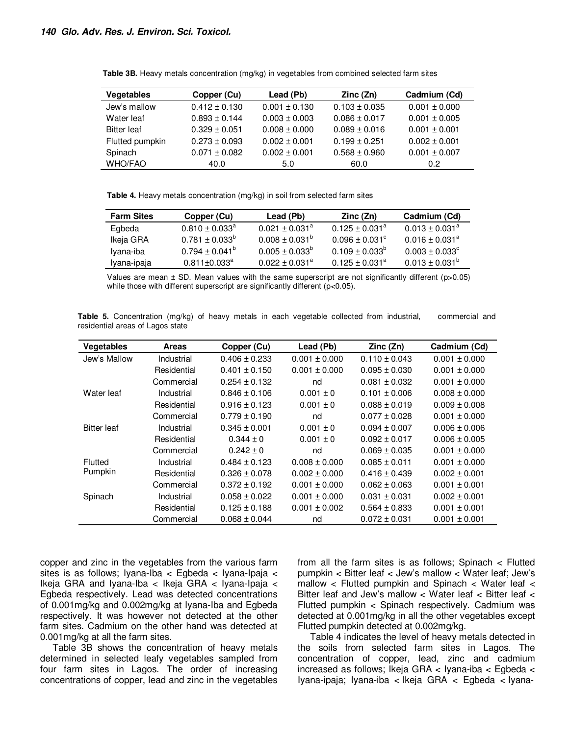| <b>Vegetables</b>  | Copper (Cu)       | Lead (Pb)         | Zinc(Zn)          | Cadmium (Cd)      |
|--------------------|-------------------|-------------------|-------------------|-------------------|
| Jew's mallow       | $0.412 \pm 0.130$ | $0.001 \pm 0.130$ | $0.103 \pm 0.035$ | $0.001 \pm 0.000$ |
| Water leaf         | $0.893 \pm 0.144$ | $0.003 \pm 0.003$ | $0.086 \pm 0.017$ | $0.001 \pm 0.005$ |
| <b>Bitter leaf</b> | $0.329 \pm 0.051$ | $0.008 \pm 0.000$ | $0.089 \pm 0.016$ | $0.001 \pm 0.001$ |
| Flutted pumpkin    | $0.273 \pm 0.093$ | $0.002 \pm 0.001$ | $0.199 \pm 0.251$ | $0.002 \pm 0.001$ |
| Spinach            | $0.071 \pm 0.082$ | $0.002 \pm 0.001$ | $0.568 \pm 0.960$ | $0.001 \pm 0.007$ |
| <b>WHO/FAO</b>     | 40.0              | 5.0               | 60.0              | 0.2               |

**Table 3B.** Heavy metals concentration (mg/kg) in vegetables from combined selected farm sites

**Table 4.** Heavy metals concentration (mg/kg) in soil from selected farm sites

| <b>Farm Sites</b> | Copper (Cu)                    | Lead (Pb)                      | Zinc (Zn)                 | Cadmium (Cd)                   |
|-------------------|--------------------------------|--------------------------------|---------------------------|--------------------------------|
| Egbeda            | $0.810 \pm 0.033^{\circ}$      | $0.021 \pm 0.031$ <sup>a</sup> | $0.125 \pm 0.031^a$       | $0.013 \pm 0.031$ <sup>a</sup> |
| Ikeja GRA         | $0.781 \pm 0.033^{\circ}$      | $0.008 \pm 0.031^{\circ}$      | $0.096 + 0.031^{\circ}$   | $0.016 \pm 0.031$ <sup>a</sup> |
| Iyana-iba         | $0.794 \pm 0.041^{\circ}$      | $0.005 \pm 0.033^{\circ}$      | $0.109 \pm 0.033^{\circ}$ | $0.003 \pm 0.033^{\circ}$      |
| Iyana-ipaja       | $0.811 \pm 0.033$ <sup>a</sup> | $0.022 \pm 0.031$ <sup>a</sup> | $0.125 \pm 0.031^a$       | $0.013 \pm 0.031^b$            |

Values are mean  $\pm$  SD. Mean values with the same superscript are not significantly different (p>0.05) while those with different superscript are significantly different (p<0.05).

| <b>Vegetables</b>  | <b>Areas</b> | Copper (Cu)       | Lead (Pb)         | Zinc(Zn)          | Cadmium (Cd)      |
|--------------------|--------------|-------------------|-------------------|-------------------|-------------------|
| Jew's Mallow       | Industrial   | $0.406 \pm 0.233$ | $0.001 \pm 0.000$ | $0.110 \pm 0.043$ | $0.001 \pm 0.000$ |
|                    | Residential  | $0.401 \pm 0.150$ | $0.001 \pm 0.000$ | $0.095 \pm 0.030$ | $0.001 \pm 0.000$ |
|                    | Commercial   | $0.254 \pm 0.132$ | nd                | $0.081 \pm 0.032$ | $0.001 \pm 0.000$ |
| Water leaf         | Industrial   | $0.846 \pm 0.106$ | $0.001 \pm 0$     | $0.101 \pm 0.006$ | $0.008 \pm 0.000$ |
|                    | Residential  | $0.916 \pm 0.123$ | $0.001 \pm 0$     | $0.088 \pm 0.019$ | $0.009 \pm 0.008$ |
|                    | Commercial   | $0.779 \pm 0.190$ | nd                | $0.077 \pm 0.028$ | $0.001 \pm 0.000$ |
| <b>Bitter leaf</b> | Industrial   | $0.345 \pm 0.001$ | $0.001 \pm 0$     | $0.094 \pm 0.007$ | $0.006 \pm 0.006$ |
|                    | Residential  | $0.344 \pm 0$     | $0.001 \pm 0$     | $0.092 \pm 0.017$ | $0.006 \pm 0.005$ |
|                    | Commercial   | $0.242 \pm 0$     | nd                | $0.069 \pm 0.035$ | $0.001 \pm 0.000$ |
| Flutted            | Industrial   | $0.484 \pm 0.123$ | $0.008 \pm 0.000$ | $0.085 \pm 0.011$ | $0.001 \pm 0.000$ |
| Pumpkin            | Residential  | $0.326 \pm 0.078$ | $0.002 \pm 0.000$ | $0.416 \pm 0.439$ | $0.002 \pm 0.001$ |
|                    | Commercial   | $0.372 \pm 0.192$ | $0.001 \pm 0.000$ | $0.062 \pm 0.063$ | $0.001 \pm 0.001$ |
| Spinach            | Industrial   | $0.058 \pm 0.022$ | $0.001 \pm 0.000$ | $0.031 \pm 0.031$ | $0.002 \pm 0.001$ |
|                    | Residential  | $0.125 \pm 0.188$ | $0.001 \pm 0.002$ | $0.564 \pm 0.833$ | $0.001 \pm 0.001$ |
|                    | Commercial   | $0.068 \pm 0.044$ | nd                | $0.072 \pm 0.031$ | $0.001 \pm 0.001$ |

**Table 5.** Concentration (mg/kg) of heavy metals in each vegetable collected from industrial, commercial and residential areas of Lagos state

copper and zinc in the vegetables from the various farm sites is as follows; Iyana-Iba < Egbeda < Iyana-Ipaja < Ikeja GRA and Iyana-Iba < Ikeja GRA < Iyana-Ipaja < Egbeda respectively. Lead was detected concentrations of 0.001mg/kg and 0.002mg/kg at Iyana-Iba and Egbeda respectively. It was however not detected at the other farm sites. Cadmium on the other hand was detected at 0.001mg/kg at all the farm sites.

Table 3B shows the concentration of heavy metals determined in selected leafy vegetables sampled from four farm sites in Lagos. The order of increasing concentrations of copper, lead and zinc in the vegetables from all the farm sites is as follows; Spinach < Flutted pumpkin < Bitter leaf < Jew's mallow < Water leaf; Jew's mallow < Flutted pumpkin and Spinach < Water leaf < Bitter leaf and Jew's mallow < Water leaf < Bitter leaf < Flutted pumpkin < Spinach respectively. Cadmium was detected at 0.001mg/kg in all the other vegetables except Flutted pumpkin detected at 0.002mg/kg.

Table 4 indicates the level of heavy metals detected in the soils from selected farm sites in Lagos. The concentration of copper, lead, zinc and cadmium increased as follows; Ikeja GRA < Iyana-iba < Egbeda < Iyana-ipaja; Iyana-iba < Ikeja GRA < Egbeda < Iyana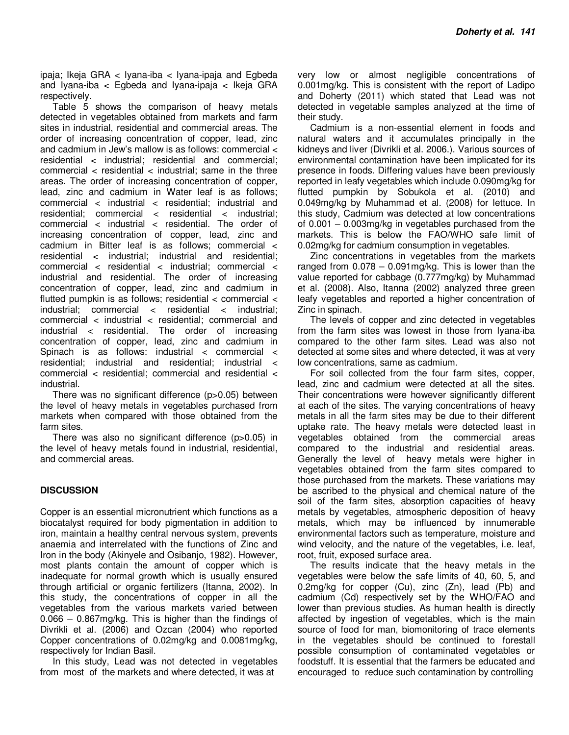ipaja; Ikeja GRA < Iyana-iba < Iyana-ipaja and Egbeda and Iyana-iba < Egbeda and Iyana-ipaja < Ikeja GRA respectively.

Table 5 shows the comparison of heavy metals detected in vegetables obtained from markets and farm sites in industrial, residential and commercial areas. The order of increasing concentration of copper, lead, zinc and cadmium in Jew's mallow is as follows: commercial < residential < industrial; residential and commercial; commercial  $\epsilon$  residential  $\epsilon$  industrial; same in the three areas. The order of increasing concentration of copper, lead, zinc and cadmium in Water leaf is as follows; commercial < industrial < residential; industrial and residential: commercial < residential < industrial: commercial  $\langle$  industrial  $\langle$  residential. The order of increasing concentration of copper, lead, zinc and cadmium in Bitter leaf is as follows; commercial < residential < industrial; industrial and residential; commercial < residential < industrial; commercial < industrial and residential. The order of increasing concentration of copper, lead, zinc and cadmium in flutted pumpkin is as follows; residential  $\lt$  commercial  $\lt$  $industrial;$  commercial < residential < industrial; commercial < industrial < residential; commercial and industrial < residential. The order of increasing concentration of copper, lead, zinc and cadmium in Spinach is as follows: industrial < commercial < residential; industrial and residential; industrial < commercial < residential; commercial and residential < industrial.

There was no significant difference (p>0.05) between the level of heavy metals in vegetables purchased from markets when compared with those obtained from the farm sites.

There was also no significant difference (p>0.05) in the level of heavy metals found in industrial, residential, and commercial areas.

## **DISCUSSION**

Copper is an essential micronutrient which functions as a biocatalyst required for body pigmentation in addition to iron, maintain a healthy central nervous system, prevents anaemia and interrelated with the functions of Zinc and Iron in the body (Akinyele and Osibanjo, 1982). However, most plants contain the amount of copper which is inadequate for normal growth which is usually ensured through artificial or organic fertilizers (Itanna, 2002). In this study, the concentrations of copper in all the vegetables from the various markets varied between 0.066 – 0.867mg/kg. This is higher than the findings of Divrikli et al. (2006) and Ozcan (2004) who reported Copper concentrations of 0.02mg/kg and 0.0081mg/kg, respectively for Indian Basil.

In this study, Lead was not detected in vegetables from most of the markets and where detected, it was at

very low or almost negligible concentrations of 0.001mg/kg. This is consistent with the report of Ladipo and Doherty (2011) which stated that Lead was not detected in vegetable samples analyzed at the time of their study.

Cadmium is a non-essential element in foods and natural waters and it accumulates principally in the kidneys and liver (Divrikli et al. 2006.). Various sources of environmental contamination have been implicated for its presence in foods. Differing values have been previously reported in leafy vegetables which include 0.090mg/kg for flutted pumpkin by Sobukola et al. (2010) and 0.049mg/kg by Muhammad et al. (2008) for lettuce. In this study, Cadmium was detected at low concentrations of 0.001 – 0.003mg/kg in vegetables purchased from the markets. This is below the FAO/WHO safe limit of 0.02mg/kg for cadmium consumption in vegetables.

Zinc concentrations in vegetables from the markets ranged from 0.078 – 0.091mg/kg. This is lower than the value reported for cabbage (0.777mg/kg) by Muhammad et al. (2008). Also, Itanna (2002) analyzed three green leafy vegetables and reported a higher concentration of Zinc in spinach.

The levels of copper and zinc detected in vegetables from the farm sites was lowest in those from Iyana-iba compared to the other farm sites. Lead was also not detected at some sites and where detected, it was at very low concentrations, same as cadmium.

For soil collected from the four farm sites, copper, lead, zinc and cadmium were detected at all the sites. Their concentrations were however significantly different at each of the sites. The varying concentrations of heavy metals in all the farm sites may be due to their different uptake rate. The heavy metals were detected least in vegetables obtained from the commercial areas compared to the industrial and residential areas. Generally the level of heavy metals were higher in vegetables obtained from the farm sites compared to those purchased from the markets. These variations may be ascribed to the physical and chemical nature of the soil of the farm sites, absorption capacities of heavy metals by vegetables, atmospheric deposition of heavy metals, which may be influenced by innumerable environmental factors such as temperature, moisture and wind velocity, and the nature of the vegetables, i.e. leaf, root, fruit, exposed surface area.

The results indicate that the heavy metals in the vegetables were below the safe limits of 40, 60, 5, and 0.2mg/kg for copper (Cu), zinc (Zn), lead (Pb) and cadmium (Cd) respectively set by the WHO/FAO and lower than previous studies. As human health is directly affected by ingestion of vegetables, which is the main source of food for man, biomonitoring of trace elements in the vegetables should be continued to forestall possible consumption of contaminated vegetables or foodstuff. It is essential that the farmers be educated and encouraged to reduce such contamination by controlling